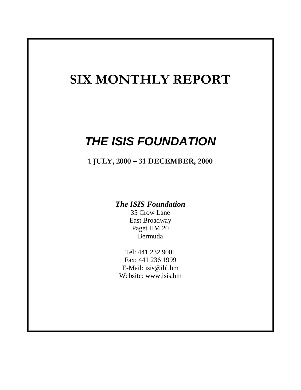# **SIX MONTHLY REPORT**

# *THE ISIS FOUNDATION*

**1 JULY, 2000 – 31 DECEMBER, 2000**

# *The ISIS Foundation*

35 Crow Lane East Broadway Paget HM 20 Bermuda

Tel: 441 232 9001 Fax: 441 236 1999 E-Mail: isis@ibl.bm Website: www.isis.bm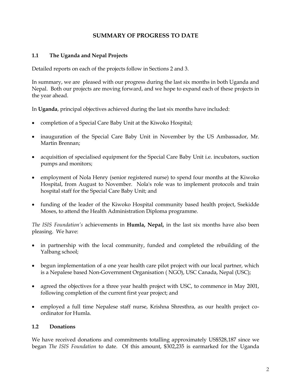# **SUMMARY OF PROGRESS TO DATE**

#### **1.1 The Uganda and Nepal Projects**

Detailed reports on each of the projects follow in Sections 2 and 3.

In summary, we are pleased with our progress during the last six months in both Uganda and Nepal. Both our projects are moving forward, and we hope to expand each of these projects in the year ahead.

In **Uganda**, principal objectives achieved during the last six months have included:

- completion of a Special Care Baby Unit at the Kiwoko Hospital;
- inauguration of the Special Care Baby Unit in November by the US Ambassador, Mr. Martin Brennan;
- acquisition of specialised equipment for the Special Care Baby Unit i.e. incubators, suction pumps and monitors;
- employment of Nola Henry (senior registered nurse) to spend four months at the Kiwoko Hospital, from August to November. Nola's role was to implement protocols and train hospital staff for the Special Care Baby Unit; and
- funding of the leader of the Kiwoko Hospital community based health project, Ssekidde Moses, to attend the Health Administration Diploma programme.

*The ISIS Foundation's* achievements in **Humla, Nepal,** in the last six months have also been pleasing. We have:

- in partnership with the local community, funded and completed the rebuilding of the Yalbang school;
- begun implementation of a one year health care pilot project with our local partner, which is a Nepalese based Non-Government Organisation ( NGO), USC Canada, Nepal (USC);
- agreed the objectives for a three year health project with USC, to commence in May 2001, following completion of the current first year project; and
- employed a full time Nepalese staff nurse, Krishna Shresthra, as our health project coordinator for Humla.

#### **1.2 Donations**

We have received donations and commitments totalling approximately US\$528,187 since we began *The ISIS Foundation* to date. Of this amount, \$302,235 is earmarked for the Uganda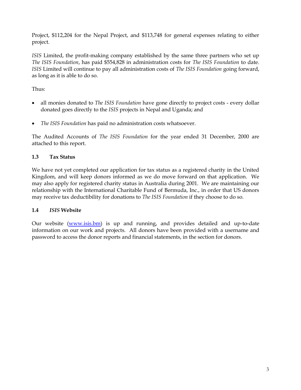Project, \$112,204 for the Nepal Project, and \$113,748 for general expenses relating to either project.

*ISIS* Limited, the profit-making company established by the same three partners who set up *The ISIS Foundation*, has paid \$554,828 in administration costs for *The ISIS Foundation* to date. *ISIS* Limited will continue to pay all administration costs of *The ISIS Foundation* going forward, as long as it is able to do so.

Thus:

- all monies donated to *The ISIS Foundation* have gone directly to project costs every dollar donated goes directly to the *ISIS* projects in Nepal and Uganda; and
- *The ISIS Foundation* has paid no administration costs whatsoever.

The Audited Accounts of *The ISIS Foundation* for the year ended 31 December, 2000 are attached to this report.

# **1.3 Tax Status**

We have not yet completed our application for tax status as a registered charity in the United Kingdom, and will keep donors informed as we do move forward on that application. We may also apply for registered charity status in Australia during 2001. We are maintaining our relationship with the International Charitable Fund of Bermuda, Inc., in order that US donors may receive tax deductibility for donations to *The ISIS Foundation* if they choose to do so.

# **1.4** *ISIS* **Website**

Our website [\(www.isis.bm\)](http://www.isis.bm/) is up and running, and provides detailed and up-to-date information on our work and projects. All donors have been provided with a username and password to access the donor reports and financial statements, in the section for donors.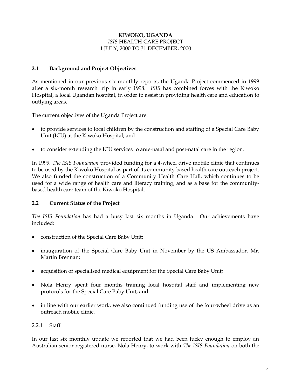## **KIWOKO, UGANDA** *ISIS* HEALTH CARE PROJECT 1 JULY, 2000 TO 31 DECEMBER, 2000

# **2.1 Background and Project Objectives**

As mentioned in our previous six monthly reports, the Uganda Project commenced in 1999 after a six-month research trip in early 1998. *ISIS* has combined forces with the Kiwoko Hospital, a local Ugandan hospital, in order to assist in providing health care and education to outlying areas.

The current objectives of the Uganda Project are:

- to provide services to local children by the construction and staffing of a Special Care Baby Unit (ICU) at the Kiwoko Hospital; and
- to consider extending the ICU services to ante-natal and post-natal care in the region.

In 1999, *The ISIS Foundation* provided funding for a 4-wheel drive mobile clinic that continues to be used by the Kiwoko Hospital as part of its community based health care outreach project. We also funded the construction of a Community Health Care Hall, which continues to be used for a wide range of health care and literacy training, and as a base for the communitybased health care team of the Kiwoko Hospital.

# **2.2 Current Status of the Project**

*The ISIS Foundation* has had a busy last six months in Uganda. Our achievements have included:

- construction of the Special Care Baby Unit;
- inauguration of the Special Care Baby Unit in November by the US Ambassador, Mr. Martin Brennan;
- acquisition of specialised medical equipment for the Special Care Baby Unit;
- Nola Henry spent four months training local hospital staff and implementing new protocols for the Special Care Baby Unit; and
- in line with our earlier work, we also continued funding use of the four-wheel drive as an outreach mobile clinic.

#### 2.2.1 Staff

In our last six monthly update we reported that we had been lucky enough to employ an Australian senior registered nurse, Nola Henry, to work with *The ISIS Foundation* on both the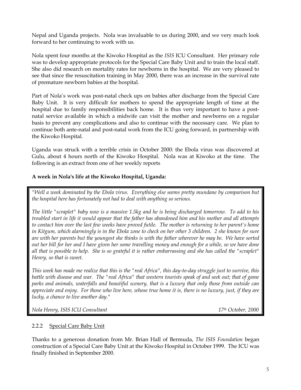Nepal and Uganda projects. Nola was invaluable to us during 2000, and we very much look forward to her continuing to work with us.

Nola spent four months at the Kiwoko Hospital as the *ISIS* ICU Consultant. Her primary role was to develop appropriate protocols for the Special Care Baby Unit and to train the local staff. She also did research on mortality rates for newborns in the hospital. We are very pleased to see that since the resuscitation training in May 2000, there was an increase in the survival rate of premature newborn babies at the hospital.

Part of Nola's work was post-natal check ups on babies after discharge from the Special Care Baby Unit. It is very difficult for mothers to spend the appropriate length of time at the hospital due to family responsibilities back home. It is thus very important to have a postnatal service available in which a midwife can visit the mother and newborns on a regular basis to prevent any complications and also to continue with the necessary care. We plan to continue both ante-natal and post-natal work from the ICU going forward, in partnership with the Kiwoko Hospital.

Uganda was struck with a terrible crisis in October 2000: the Ebola virus was discovered at Gulu, about 4 hours north of the Kiwoko Hospital. Nola was at Kiwoko at the time. The following is an extract from one of her weekly reports

# **A week in Nola's life at the Kiwoko Hospital, Uganda:**

*"Well a week dominated by the Ebola virus. Everything else seems pretty mundane by comparison but the hospital here has fortunately not had to deal with anything so serious.*

*The little "scraplet" baby now is a massive 1.5kg and he is being discharged tomorrow. To add to his troubled start in life it would appear that the father has abandoned him and his mother and all attempts to contact him over the last few weeks have proved futile. The mother is returning to her parent's home in Kitgum, which alarmingly is in the Ebola zone to check on her other 3 children. 2 she knows for sure are with her parents but the youngest she thinks is with the father wherever he may be. We have sorted out her bill for her and I have given her some travelling money and enough for a while, so we have done all that is possible to help. She is so grateful it is rather embarrassing and she has called the "scraplet" Henry, so that is sweet.*

*This week has made me realize that this is the "real Africa", this day-to-day struggle just to survive, this battle with disease and war. The "real Africa" that western tourists speak of and seek out; that of game parks and animals, waterfalls and beautiful scenery, that is a luxury that only those from outside can appreciate and enjoy. For those who live here, whose true home it is, there is no luxury, just, if they are lucky, a chance to live another day."*

*Nola Henry, ISIS ICU Consultant 17th October, 2000*

# 2.2.2 Special Care Baby Unit

Thanks to a generous donation from Mr. Brian Hall of Bermuda, *The ISIS Foundation* began construction of a Special Care Baby Unit at the Kiwoko Hospital in October 1999. The ICU was finally finished in September 2000.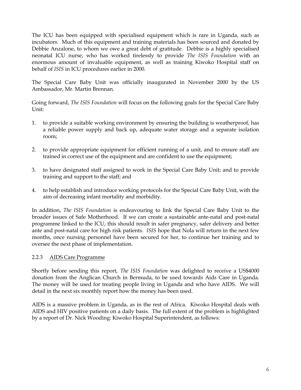The ICU has been equipped with specialised equipment which is rare in Uganda, such as incubators. Much of this equipment and training materials has been sourced and donated by Debbie Anzalone, to whom we owe a great debt of gratitude. Debbie is a highly specialised neonatal ICU nurse, who has worked tirelessly to provide *The ISIS Foundation* with an enormous amount of invaluable equipment, as well as training Kiwoko Hospital staff on behalf of *ISIS* in ICU procedures earlier in 2000.

The Special Care Baby Unit was officially inaugurated in November 2000 by the US Ambassador, Mr. Martin Brennan.

Going forward, *The ISIS Foundation* will focus on the following goals for the Special Care Baby Unit:

- 1. to provide a suitable working environment by ensuring the building is weatherproof, has a reliable power supply and back up, adequate water storage and a separate isolation room;
- 2. to provide appropriate equipment for efficient running of a unit, and to ensure staff are trained in correct use of the equipment and are confident to use the equipment;
- 3. to have designated staff assigned to work in the Special Care Baby Unit; and to provide training and support to the staff; and
- 4. to help establish and introduce working protocols for the Special Care Baby Unit, with the aim of decreasing infant mortality and morbidity.

In addition, *The ISIS Foundation* is endeavouring to link the Special Care Baby Unit to the broader issues of Safe Motherhood. If we can create a sustainable ante-natal and post-natal programme linked to the ICU, this should result in safer pregnancy, safer delivery and better ante and post-natal care for high risk patients. *ISIS* hope that Nola will return in the next few months, once nursing personnel have been secured for her, to continue her training and to oversee the next phase of implementation.

# 2.2.3 AIDS Care Programme

Shortly before sending this report*, The ISIS Foundation* was delighted to receive a US\$4000 donation from the Anglican Church in Bermuda, to be used towards Aids Care in Uganda. The money will be used for treating people living in Uganda and who have AIDS. We will detail in the next six monthly report how the money has been used.

AIDS is a massive problem in Uganda, as in the rest of Africa. Kiwoko Hospital deals with AIDS and HIV positive patients on a daily basis. The full extent of the problem is highlighted by a report of Dr. Nick Wooding: Kiwoko Hospital Superintendent, as follows: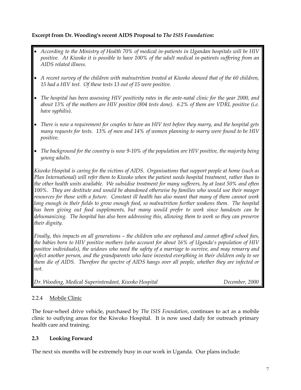# **Excerpt from Dr. Wooding's recent AIDS Proposal to** *The ISIS Foundation***:**

- *According to the Ministry of Health 70% of medical in-patients in Ugandan hospitals will be HIV positive. At Kiwoko it is possible to have 100% of the adult medical in-patients suffering from an AIDS related illness.*
- *A recent survey of the children with malnutrition treated at Kiwoko showed that of the 60 children, 15 had a HIV test. Of these tests 13 out of 15 were positive.*
- *The hospital has been assessing HIV positivity rates in the ante-natal clinic for the year 2000, and about 13% of the mothers are HIV positive (804 tests done). 6.2% of them are VDRL positive (i.e. have syphilis).*
- *There is now a requirement for couples to have an HIV test before they marry, and the hospital gets many requests for tests. 13% of men and 14% of women planning to marry were found to be HIV positive.*
- *The background for the country is now 9-10% of the population are HIV positive, the majority being young adults.*

*Kiwoko Hospital is caring for the victims of AIDS. Organisations that support people at home (such as Plan International) will refer them to Kiwoko when the patient needs hospital treatment, rather than to the other health units available. We subsidise treatment for many sufferers, by at least 50% and often 100%. They are destitute and would be abandoned otherwise by families who would use their meager resources for those with a future. Constant ill health has also meant that many of them cannot work long enough in their fields to grow enough food, so malnutrition further weakens them. The hospital has been giving out food supplements, but many would prefer to work since handouts can be dehumanizing. The hospital has also been addressing this, allowing them to work so they can preserve their dignity.*

*Finally, this impacts on all generations – the children who are orphaned and cannot afford school fees, the babies born to HIV positive mothers (who account for about 16% of Uganda's population of HIV positive individuals), the widows who need the safety of a marriage to survive, and may remarry and infect another person, and the grandparents who have invested everything in their children only to see them die of AIDS. Therefore the spectre of AIDS hangs over all people, whether they are infected or not.*

*Dr. Wooding, Medical Superintendant, Kiwoko Hospital December, 2000*

# 2.2.4 Mobile Clinic

The four-wheel drive vehicle, purchased by *The ISIS Foundation*, continues to act as a mobile clinic to outlying areas for the Kiwoko Hospital. It is now used daily for outreach primary health care and training.

# **2.3 Looking Forward**

The next six months will be extremely busy in our work in Uganda. Our plans include: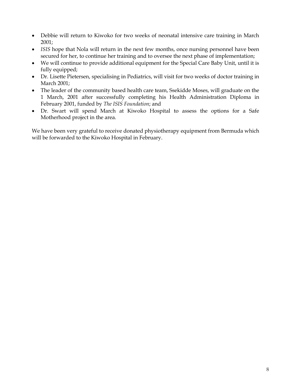- Debbie will return to Kiwoko for two weeks of neonatal intensive care training in March 2001;
- ISIS hope that Nola will return in the next few months, once nursing personnel have been secured for her, to continue her training and to oversee the next phase of implementation;
- We will continue to provide additional equipment for the Special Care Baby Unit, until it is fully equipped;
- Dr. Lisette Pietersen, specialising in Pediatrics, will visit for two weeks of doctor training in March 2001;
- The leader of the community based health care team, Ssekidde Moses, will graduate on the 1 March, 2001 after successfully completing his Health Administration Diploma in February 2001, funded by *The ISIS Foundation*; and
- Dr. Swart will spend March at Kiwoko Hospital to assess the options for a Safe Motherhood project in the area.

We have been very grateful to receive donated physiotherapy equipment from Bermuda which will be forwarded to the Kiwoko Hospital in February.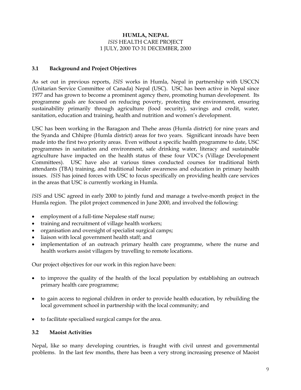# **HUMLA, NEPAL** *ISIS* HEALTH CARE PROJECT 1 JULY, 2000 TO 31 DECEMBER, 2000

### **3.1 Background and Project Objectives**

As set out in previous reports, *ISIS* works in Humla, Nepal in partnership with USCCN (Unitarian Service Committee of Canada) Nepal (USC). USC has been active in Nepal since 1977 and has grown to become a prominent agency there, promoting human development. Its programme goals are focused on reducing poverty, protecting the environment, ensuring sustainability primarily through agriculture (food security), savings and credit, water, sanitation, education and training, health and nutrition and women's development.

USC has been working in the Baragaon and Thehe areas (Humla district) for nine years and the Syanda and Chhipre (Humla district) areas for two years. Significant inroads have been made into the first two priority areas. Even without a specific health programme to date, USC programmes in sanitation and environment, safe drinking water, literacy and sustainable agriculture have impacted on the health status of these four VDC's (Village Development Committees). USC have also at various times conducted courses for traditional birth attendants (TBA) training, and traditional healer awareness and education in primary health issues. *ISIS* has joined forces with USC to focus specifically on providing health care services in the areas that USC is currently working in Humla.

*ISIS* and USC agreed in early 2000 to jointly fund and manage a twelve-month project in the Humla region. The pilot project commenced in June 2000, and involved the following:

- employment of a full-time Nepalese staff nurse;
- training and recruitment of village health workers;
- organisation and oversight of specialist surgical camps;
- liaison with local government health staff; and
- implementation of an outreach primary health care programme, where the nurse and health workers assist villagers by travelling to remote locations.

Our project objectives for our work in this region have been:

- to improve the quality of the health of the local population by establishing an outreach primary health care programme;
- to gain access to regional children in order to provide health education, by rebuilding the local government school in partnership with the local community; and
- to facilitate specialised surgical camps for the area.

#### **3.2 Maoist Activities**

Nepal, like so many developing countries, is fraught with civil unrest and governmental problems. In the last few months, there has been a very strong increasing presence of Maoist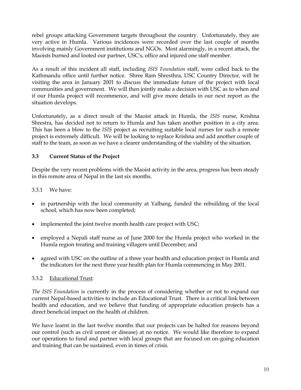rebel groups attacking Government targets throughout the country. Unfortunately, they are very active in Humla. Various incidences were recorded over the last couple of months involving mainly Government institutions and NGOs. Most alarmingly, in a recent attack, the Maoists burned and looted our partner, USC's, office and injured one staff member.

As a result of this incident all staff, including *ISIS Foundation* staff, were called back to the Kathmandu office until further notice. Shree Ram Shresthra, USC Country Director, will be visiting the area in January 2001 to discuss the immediate future of the project with local communities and government. We will then jointly make a decision with USC as to when and if our Humla project will recommence, and will give more details in our next report as the situation develops.

Unfortunately, as a direct result of the Maoist attack in Humla, the *ISIS* nurse, Krishna Shrestra, has decided not to return to Humla and has taken another position in a city area. This has been a blow to the *ISIS* project as recruiting suitable local nurses for such a remote project is extremely difficult. We will be looking to replace Krishna and add another couple of staff to the team, as soon as we have a clearer understanding of the viability of the situation.

# **3.3 Current Status of the Project**

Despite the very recent problems with the Maoist activity in the area, progress has been steady in this remote area of Nepal in the last six months.

3.3.1 We have:

- in partnership with the local community at Yalbang, funded the rebuilding of the local school, which has now been completed;
- implemented the joint twelve month health care project with USC;
- employed a Nepali staff nurse as of June 2000 for the Humla project who worked in the Humla region treating and training villagers until December; and
- agreed with USC on the outline of a three year health and education project in Humla and the indicators for the next three year health plan for Humla commencing in May 2001.

#### 3.3.2 Educational Trust:

*The ISIS Foundation* is currently in the process of considering whether or not to expand our current Nepal-based activities to include an Educational Trust. There is a critical link between health and education, and we believe that funding of appropriate education projects has a direct beneficial impact on the health of children.

We have learnt in the last twelve months that our projects can be halted for reasons beyond our control (such as civil unrest or disease) at no notice. We would like therefore to expand our operations to fund and partner with local groups that are focused on on-going education and training that can be sustained, even in times of crisis.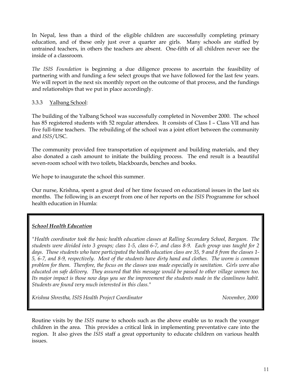In Nepal, less than a third of the eligible children are successfully completing primary education, and of these only just over a quarter are girls. Many schools are staffed by untrained teachers, in others the teachers are absent. One-fifth of all children never see the inside of a classroom.

*The ISIS Foundation* is beginning a due diligence process to ascertain the feasibility of partnering with and funding a few select groups that we have followed for the last few years. We will report in the next six monthly report on the outcome of that process, and the fundings and relationships that we put in place accordingly.

### 3.3.3 Yalbang School:

The building of the Yalbang School was successfully completed in November 2000. The school has 85 registered students with 52 regular attendees. It consists of Class I - Class VII and has five full-time teachers. The rebuilding of the school was a joint effort between the community and *ISIS*/USC.

The community provided free transportation of equipment and building materials, and they also donated a cash amount to initiate the building process. The end result is a beautiful seven-room school with two toilets, blackboards, benches and books.

We hope to inaugurate the school this summer.

Our nurse, Krishna, spent a great deal of her time focused on educational issues in the last six months. The following is an excerpt from one of her reports on the *ISIS* Programme for school health education in Humla:

# *School Health Education*

*"Health coordinator took the basic health education classes at Ralling Secondary School, Bargaon. The students were divided into 3 groups; class 1-5, class 6-7, and class 8-9. Each group was taught for 2 days. Those students who have participated the health education class are 35, 9 and 8 from the classes 1- 5, 6-7, and 8-9, respectively. Most of the students have dirty hand and clothes. The worm is common problem for them. Therefore, the focus on the classes was made especially in sanitation. Girls were also educated on safe delivery. They assured that this message would be passed to other village women too. Its major impact is those now days you see the improvement the students made in the cleanliness habit. Students are found very much interested in this class."*

Krishna Shrestha, ISIS Health Project Coordinator **November, 2000** 

Routine visits by the *ISIS* nurse to schools such as the above enable us to reach the younger children in the area. This provides a critical link in implementing preventative care into the region. It also gives the *ISIS* staff a great opportunity to educate children on various health issues.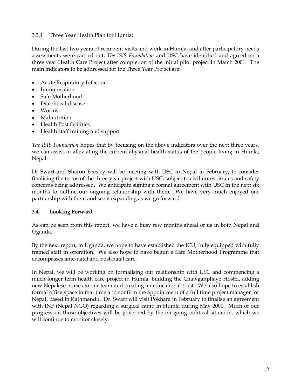# 3.3.4 Three Year Health Plan for Humla:

During the last two years of recurrent visits and work in Humla, and after participatory needs assessments were carried out, *The ISIS Foundation* and USC have identified and agreed on a three year Health Care Project after completion of the initial pilot project in March 2001. The main indicators to be addressed for the Three Year Project are:

- Acute Respiratory Infection
- Immunisation
- Safe Motherhood
- Diarrhoeal disease
- Worms
- Malnutrition
- Health Post facilities
- Health staff training and support

*The ISIS Foundation* hopes that by focusing on the above indicators over the next three years, we can assist in alleviating the current abysmal health status of the people living in Humla, Nepal.

Dr Swart and Sharon Beesley will be meeting with USC in Nepal in February, to consider finalising the terms of the three-year project with USC, subject to civil unrest issues and safety concerns being addressed. We anticipate signing a formal agreement with USC in the next six months to outline our ongoing relationship with them. We have very much enjoyed our partnership with them and see it expanding as we go forward.

# **3.4 Looking Forward**

As can be seen from this report, we have a busy few months ahead of us in both Nepal and Uganda.

By the next report, in Uganda, we hope to have established the ICU, fully equipped with fully trained staff in operation. We also hope to have begun a Safe Motherhood Programme that encompasses ante-natal and post-natal care.

In Nepal, we will be working on formalising our relationship with USC and commencing a much longer term health care project in Humla, building the Chawganphaye Hostel, adding new Nepalese nurses to our team and creating an educational trust. We also hope to establish formal office space in that time and confirm the appointment of a full time project manager for Nepal, based in Kathmandu. Dr. Swart will visit Pokhara in February to finalise an agreement with INF (Nepal NGO) regarding a surgical camp in Humla during May 2001. Much of our progress on those objectives will be governed by the on-going political situation, which we will continue to monitor closely.